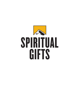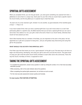# SPIRITUAL GIFTS ASSESSMENT

When you accepted Christ, you not only got saved...you were given something very special from God: a giftedness to serve God in a unique way. God's plan for your life is that you would meet a specific need in the church family, and He has gifted you in a special way to meet that need.

"As each one of us has received a gift, minister it to one another, as good stewards of the manifold grace of God."—1 Peter 4:10

If you have trusted Christ, then you have a spiritual gift! Even if you don't know what it is or don't feel particularly gifted in a specific area, the Bible teaches that you do have a special gift that you can use to serve God. And, believe it or not, your gift is vital to the work of God in our church family, otherwise God would not have placed you here.

God's Word teaches that as a member of His Body, you are important to His work in this place. He has appointed you a gift and a purpose for being here...and you will greatly enjoy discovering and using that gift for His purposes!

#### **WHAT SHOULD YOU DO WITH THIS SPIRITUAL GIFT?**

First Peter says that God wants you to be a "good steward" of His gift to you! The best way to do that is to begin now discovering, developing, and using your gift to serve the Lord and His church. The great result of using your gift is that the entire church family ministers to each other and to the community. That's the way the church, the Body of Christ, is supposed to work!

### TAKING THE SPIRITUAL GIFTS ASSESSMENT

- To complete the assessment, answer every question in order by circling the number, 0 to 5, that most accurately describes yourself.
- . While answering, refer to the scale indicator above the questions.
- . When completing the spiritual gifts assessment, do not think as much as react.
- For the most accurate assessment answer quickly and honestly.

#### **For best results, PRAY BEFORE ATTEMPTING.**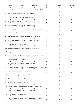| Never                                   | Rarely                                                   | Occasionally                                                                | True<br>sometimes | True most of<br>the time | Always true |
|-----------------------------------------|----------------------------------------------------------|-----------------------------------------------------------------------------|-------------------|--------------------------|-------------|
| $\Omega$                                | $\mathbf{1}$                                             | $\overline{2}$                                                              | з                 | 4                        | 5           |
|                                         |                                                          | 1. I relate & measure everything I experience accordingly to God's Word.    |                   |                          |             |
|                                         |                                                          |                                                                             | З                 | 4                        | 5           |
|                                         | 2. Others seem to look to me for advice and help.        |                                                                             |                   |                          |             |
|                                         |                                                          | 2                                                                           | 3                 |                          | 5           |
|                                         | 3. I'm easily bothered by others' lack of compassion.    |                                                                             | 3                 | 4                        | 5           |
|                                         | 4. I don't take anything at face value.                  |                                                                             |                   |                          |             |
|                                         |                                                          |                                                                             | 3                 | 4                        | 5           |
|                                         | 5. I can visualize the "big picture" of a major project. |                                                                             |                   |                          |             |
|                                         |                                                          |                                                                             | 3                 |                          | 5           |
|                                         |                                                          | 6. When others are in my home I like to wait on them "hand and foot."       |                   |                          |             |
|                                         |                                                          |                                                                             | 3                 |                          | 5           |
|                                         | 7. I feel compelled to give financially to others.       |                                                                             |                   |                          |             |
|                                         |                                                          | 2                                                                           | 3                 | 4                        | 5           |
|                                         |                                                          | 8. I will speak the truth whether or not it causes hurt feelings.           | 3                 |                          | 5           |
|                                         |                                                          | 9. I can organize and delegate people and resources easily.                 |                   |                          |             |
|                                         |                                                          |                                                                             | 3                 | 4                        | 5           |
|                                         | 10. I feel compelled to share knowledge.                 |                                                                             |                   |                          |             |
|                                         |                                                          |                                                                             | 3                 |                          | 5           |
|                                         | 11. Discouraged people are often encouraged by my words. |                                                                             |                   |                          |             |
|                                         |                                                          |                                                                             | 3                 |                          | 5           |
|                                         | 12. I neglect my own work in order to help others.       | 2                                                                           | 3                 | 4                        | 5           |
|                                         |                                                          |                                                                             |                   |                          |             |
|                                         |                                                          | 13. I easily identify tasks that need to get done and do them myself.       | 3                 |                          | 5           |
|                                         | 14. I enjoy doing little things to help people.          |                                                                             |                   |                          |             |
|                                         |                                                          |                                                                             | 3                 |                          | 5           |
|                                         | 15. My natural tendency is to step up and take control.  |                                                                             |                   |                          |             |
| 0                                       |                                                          | 2                                                                           | 3                 | 4                        | 5           |
|                                         |                                                          | 16. I cheerfully give time or money, regardless of how much I have to give. | З                 | 4                        | 5           |
|                                         |                                                          |                                                                             |                   |                          |             |
|                                         | 17. I have compassion for all living creatures.          | $\overline{2}$                                                              | 3                 | 4                        | 5           |
|                                         | 18. I don't hesitate to give constructive criticism.     |                                                                             |                   |                          |             |
|                                         |                                                          | 2                                                                           | 3                 |                          | 5           |
|                                         | 19. People see me as a frank and outspoken person.       |                                                                             |                   |                          |             |
|                                         |                                                          | 2                                                                           | 3                 | 4                        | 5           |
|                                         | 20. People seem to learn easily from me.                 |                                                                             |                   |                          |             |
|                                         |                                                          | 2                                                                           | 3                 | 4                        | 5           |
|                                         |                                                          | 21. I can be described as responsible, charitable, and disciplined.         | 3                 |                          | 5           |
|                                         |                                                          |                                                                             |                   |                          |             |
|                                         | 22. I don't expect repayment for favors I do for others. |                                                                             | 3                 | 4                        | 5           |
| 23. Others tell me I'm a good listener. |                                                          |                                                                             |                   |                          |             |
|                                         |                                                          | $\overline{2}$                                                              | 3                 |                          | 5           |
|                                         |                                                          | 24. Communicating the facts in a situation is something I do well.          |                   |                          |             |
|                                         |                                                          |                                                                             | 3                 | 4                        | 5           |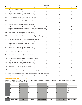| Never                            | Rarely                                                     | Occasionally                                                                     | True<br>sometimes | True most of<br>the time | Always true |
|----------------------------------|------------------------------------------------------------|----------------------------------------------------------------------------------|-------------------|--------------------------|-------------|
| $\Omega$                         | $\mathbf{1}$                                               | $\overline{2}$                                                                   | 3                 | 4                        | 5           |
| 25. I am a task oriented person. |                                                            | 2                                                                                | 3                 | 4                        | 5           |
|                                  | 26. I find it easy to maintain an optimistic outlook.      | 2                                                                                | 3                 | 4                        | 5           |
|                                  | 27. I will stand alone on something I believe in strongly. |                                                                                  | 3                 | 4                        | 5           |
|                                  | 28. I will not confront others if I feel it may hurt them. |                                                                                  | 3                 | 4                        | 5           |
|                                  | 29. I give well above my tithe to the Body of Christ.      | $\mathcal{P}$                                                                    | 3                 | 4                        | 5           |
|                                  |                                                            | 30. While I'm frugal in personal spending, I'm often led to give to others.      | З                 |                          | 5           |
|                                  | 31. I enjoy research as well as sharing what I find.       |                                                                                  | 3                 | 4                        | 5           |
|                                  |                                                            | 32. I am compelled to comfort people who are hurting or suffering.               | 3                 | 4                        | 5           |
|                                  |                                                            | 33. Deadlines challenge me & I usually meet them on time.                        | 3                 | 4                        | 5           |
|                                  | 34. I can discern the motives of others fairly easily      | 2                                                                                | 3                 |                          | 5           |
|                                  | 35. I find strength from bearing other's burdens.          | 2                                                                                | 3                 |                          | 5           |
|                                  | 36. My use of knowledge may appear prideful.               | 2                                                                                | 3                 | 4                        | 5           |
|                                  | 37. I can create order out of organizational chaos.        | $\overline{2}$                                                                   | 3                 |                          | 5           |
|                                  | 38. I volunteer my time and talents to worthwhile causes.  |                                                                                  | З                 |                          | 5           |
| Ü                                | 39. I'm moved with compassion to cry with others.          |                                                                                  |                   |                          |             |
|                                  | 40. I can select the best person for particular tasks.     | 2                                                                                | 3                 | 4                        | 5           |
|                                  |                                                            | 41. My focus on right and wrong may be read as being judgmental.                 | 3                 | 4                        | 5           |
|                                  | 1                                                          | 42. I enjoy helping others develop a plan of action to deal with their concerns. | 3                 | 4                        | 5           |

### **Spiritual Gifts Test Scoring Key**

Directions: Transfer the number you circled to the blank beside the corresponding question. Add the totals up in each column. The highest possible score in one column would be 30.

|               | 1.                | 6.     | 4.      | $\overline{2}$ .     | $\overline{ }$<br>7. | 5.                   | 3.               |
|---------------|-------------------|--------|---------|----------------------|----------------------|----------------------|------------------|
|               | 8.                | 12.    | 10.     | 11.                  | 16.                  | <b>9.</b>            | 17.              |
|               | 19.               | 13.    | 20.     | 18.                  | 21.                  | 15.                  | 28.              |
|               | 27.               | 14.    | 24.     | 23.                  | 22.                  | 33.                  | 32.              |
|               | 34.               | 25.    | 31.     | 26.                  | 29.                  | 37.                  | 35.              |
|               | 41.               | 38.    | 36.     | 42.                  | 30.                  | 40.                  | 39.              |
| <b>Totals</b> |                   |        |         |                      |                      |                      |                  |
|               | Prophet/Perceiver | Server | Teacher | Exhorter/ Encourager | Giver                | Leader/Administrator | Mercy/Compassion |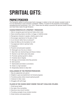# SPIRITUAL GIFTS:

### PROPHET/PERCEIVER

The God-given ability to communicate God's message in relation to the truth already revealed (Jude 3). It is not necessarily or even primarily a prediction. Rather, it is done for the purposes of encouraging, strengthening and comforting (1 Cor. 14:3). These have the ability to perceive the spiritual needs of others and meet those needs through Scripture.

#### **CHARACTERISTICS OF A PROPHET / PERCEIVER:**

- 1. Able to recognize good and bad and hates what is bad.
- 2. Sees everything clearly not dimly; no foggy or indefinite areas
- 3. Recognizes character in people, whether good or bad
- 4. Encourages repentance for the glory of God
- 5. Is an introvert rather than an extravert?
- 6. Sees the Bible as the foundation for truth
- 7. Courageously holds to spiritual truths
- 8. Outspoken
- 9. Powerful and persuasive speaker
- 10. Distraught over the sins of others
- 11. Sees their own shortcomings and those of others
- 12. Desires to see God's plans take place
- 13. Promotes spiritual growth in others
- 14. Fanatical about integrity
- 15. Strongly communicates what they perceive
- 16. Self-examiner
- 17. Opinionated and holds to convictions
- 18. Holds to a high standard
- 19. Desperately desires to obey God

#### **CHALLENGES OF THE PROPHET/PERCEIVER:**

- 1. May be judgmental and upfront
- 2. Delights in goal accomplishment not forward progress
- 3. Forcefully pushes others toward spiritual growth
- 4. Intolerant of other views
- 5. Struggles with self-image

- 1. Small group leader
- 2. Any type of lay counseling
- 3. Security at any church function
- 4. Providing oversight of any ministry function
- 5. Great mentors and peacemakers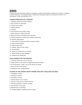# SERVER

A server has the God-given ability to recognize a need and administer assistance to others. In relation to other believers, this releases them to utilize their God-given gifts (e.g. Deacons in Acts 6:1-6; 1 Corinthians 12:28; and Romans 12:7).

#### **CHARACTERISTICS OF A SERVER:**

- 1. Willingly meets the needs of others
- 2. Has a hands on approach
- 3. Precise and orderly
- 4. Detail oriented
- 5. Friendly
- 6. Has trouble turning others away
- 7. More interest in others than self
- 8. More short term orientated than long term
- 9. Actively expressive rather than verbally expressive
- 10. Desires appreciation
- 11. Goes above and beyond what is asked of them
- 12. Enjoys being helpful
- 13. High energy level
- 14. Orderly; does not like clutter
- 15. Perfectionist
- 16. Places an importance on serving
- 17. Would rather do than delegate
- 18. Supports the leadership

#### **CHALLENGES FOR THE SERVER:**

- 1. Criticizes those who are not serving
- 2. Helps others to the extent of neglecting personal family
- 3. So enthusiastic to help, may come across as pushy
- 4. Does not like to be served
- 5. Saddened when unappreciated

- 1. Hospitality ministry
- 2. Children's ministry
- 3. Homeless ministry
- 4. Taking meals to ill or injured
- 5. Set-up or tear down at special events
- 7. Serving anywhere, anytime, anyway
- 8. Construction of any type
- 9. Maintenance of anything
- 10. Putting together anything with the hands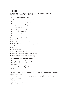### **TEACHER**

The God-given ability to study, research, explain and communicate truth (e.g. Paul and Timothy in 2 Timothy 2:2).

### **CHARACTERISTICS OF A TEACHER:**

- 1. Logical presenter of truth
- 2. Confirms truth by examining facts
- 3. Enjoys study and investigation
- 4. Knows how to do word studies
- 5. Uses biblical illustrations
- 6. Detests Scripture used out of context
- 7. Establishes truth biblically
- 8. Objective rather than subjective
- 9. Extensive vocabulary
- 10. Accurate presenter of truth
- 11. Tests the information of others
- 12. Favors teaching over evangelism
- 13. Starts with Scripture when answering questions
- 14. Intellectual
- 15. Disciplined
- 16. Emotionally stable
- 17. Has a close circle of friends
- 18. Strong convictions based on solid research
- 19. Believes God's truth leads to life change

#### **CHALLENGES FOR THE TEACHER:**

- 1. Can neglect application in exchange for information download
- 2. Slow to accept views of other
- 3. Prideful due to knowledge
- 4. May be legalistic and dogmatic
- 5. Easily distracted by love of new interests

- 1. Small group leader
- 2. Bible study leader Men's ministry, Women's ministry, Children's ministry
- 3. Rock U instructor
- 4. Research assistant
- 5. Developer of curriculum
- 6. Child, youth, teen mentor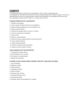# **EXHORTER**

The God-given ability to draw near to individuals in time of need; encouraging and counseling them accurately with the Word of God; and persuading them to take courage in the face of something they must do or assuring them to take comfort because of something that has occurred (E.g. Barnabas in Acts 4:36-37; 9:26-27; 11:19-26; and 15:36-41).

#### **CHARACTERISTICS OF A EXHORTER:**

- 1. Verbally encouraging
- 2. Likes to apply the Word rather than investigate it
- 3. Prefers practical application over theological truth
- 4. Works best with others
- 5. Verbally encourages others to excel in ministry
- 6. Loves to do personal counseling
- 7. Loves to talk
- 8. Excels in communication
- 9. Perceives trials as opportunities for personal growth
- 10. Has a positive attitude
- 11. Easily makes decisions
- 12. Prefers to quickly resolve problems
- 13 Needs to bounce ideas off others

#### **CHALLENGES FOR THE EXHORTER:**

- 1. Frequently interrupts others
- 2. Uses Scripture out of context
- 3. Out spoken and opinionated
- 4. Slightly overconfident

- 1. Lay counseling
- 2. Stephen minister
- 3. Table facilitator
- 4. Hospitality ministry
- 5. Drama ministry
- 6. Nursing home ministry
- 7. Homeless Ministry Team
- 8. Small group leader
- 9. Anyplace where encouragement is needed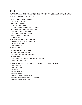## GIVER

The God-given ability to give freely of what God has entrusted to them. This includes giving time, material goods and financial resources with joy and eagerness and without any "ulterior motives" that would benefit the giver (E.g. David in I Chronicles 29:1-19).

#### **CHARACTERISTICS OF A GIVER:**

- 1. Gives as led by the Spirit
- 2. Freely and happily gives
- 3. Often gives anonymously
- 4. Understands giving is an intricate part of serving
- 5. Takes pleasure in meeting the needs of others
- 6. Gives not only quantity but quality
- 7. Gives to bless and enhance ministries
- 8. Sees hospitality as a chance to give
- 9. Financially wise
- 10. Strongly believes in tithes and offerings
- 11. Understands that God owns everything
- 12. Strong business skills
- 13. Appreciates value
- 14. Is not gullible

#### **CHALLENGES FOR THE GIVER:**

- 1. Tends to be controlling with money
- 2. Pressures others to be more generous
- 3. May over commit
- 4. Uses financial giving as a way out of other requirements
- 5. Leads others on guilt trips

- 1. Homeless ministry
- 2. Small group leader
- 3. Fundraising
- 4. Any serving opportunity
- 5. Hospitality ministry
- 6. Financial counseling ministry Team
- 7. Support of church special projects (i.e. building)
- 8. Financially support any ministry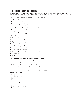# LEADERSHIP / ADMINISTRATION

The God-given ability to lead others in meaningful endeavors which demonstrates personal care and concern in order to meet the needs of others and encourage their growth (E.g. Fathers in I Tim. 3:4-5; 12).

### **CHARACTERISTICS OF LEADERSHIP / ADMINISTRATION:**

- 1. Motivates others to action
- 2. Clearly communicates
- 3. Thrives when given authority
- 4. Happily receives authority when given
- 5. Naturally assumes leadership when there is a lack
- 6. Takes on long-term projects
- 7. Is a visionary
- 8. Has good networking abilities
- 9. Delegates well
- 10. Takes criticism well
- 11. Is passionate and enthusiastic
- 12. Enjoys accomplishing goals
- 13. Gives credit to others
- 14. Meets challenges as they arise
- 15. Is a natural and capable leader
- 16. Understands the Big picture
- 17. Discards what does not work and keeps what does
- 18. Enjoys people
- 19 Dislikes the mundane routine

#### **CHALLENGES FOR THE LEADER / ADMINISTRATOR:**

- 1. May have trouble dealing with opposition
- 2. May become callous due to constant criticism
- 3. Pushes hard to the point of neglecting family
- 4. Ignores family responsibilities due to love of work

- 1. Small group leader
- 2. Jr. High ministry
- 3. High School ministry
- 4. College ministry
- 5. Singles ministry
- 6. Prison ministry
- 7. Any type of leadership/oversight role
- 8. Creator of new ministries
- 9. Coach of Sports ministries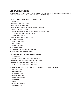### MERCY / COMPASSION

The God-given ability to have immediate compassion for those who are suffering combined with great joy in meeting their needs (E.g. the Good Samaritan in Luke 10:30-37).

#### **CHARACTERISTICS OF MERCY / COMPASSION:**

- 1. Loves to love
- 2. Searches out the good in people
- 3. Brings out the good in people
- 4. Recognizes the spiritual and emotional condition of others
- 5. Acts out of concern for others
- 6. Cares for the emotional, spiritual, and physical well being of others
- 7. Considers others more important than self
- 8. Chooses words carefully
- 9. Recognizes the affect words can have
- 10. Detects insincerity
- 11. Loves to be thoughtful
- 12. Is trustworthy
- 13. Non-confrontational
- 14. Unusually cheerful
- 15. Thinks with the heart rather than the head
- 16. Rejoices and/or grieves with others

#### **CHALLENGES FOR THE MERCY/COMPASSION:**

- 1. Overly sensitive
- 2. Caring may be misunderstood by the opposite sex
- 3. Easily takes up others problems that are not their own
- 4. Thinking with their heart leads to indecision
- 5. Can be easily hurt by others unintentionally

- 1. Small group leader
- 2. Homeless ministry
- 3. Counseling ministry
- 4. Hospitality of any sort
- 5. Visitation and follow-up
- 6. Prison ministry
- 7. Greeters
- 8. Any type of phone work
- 9. Children's ministry